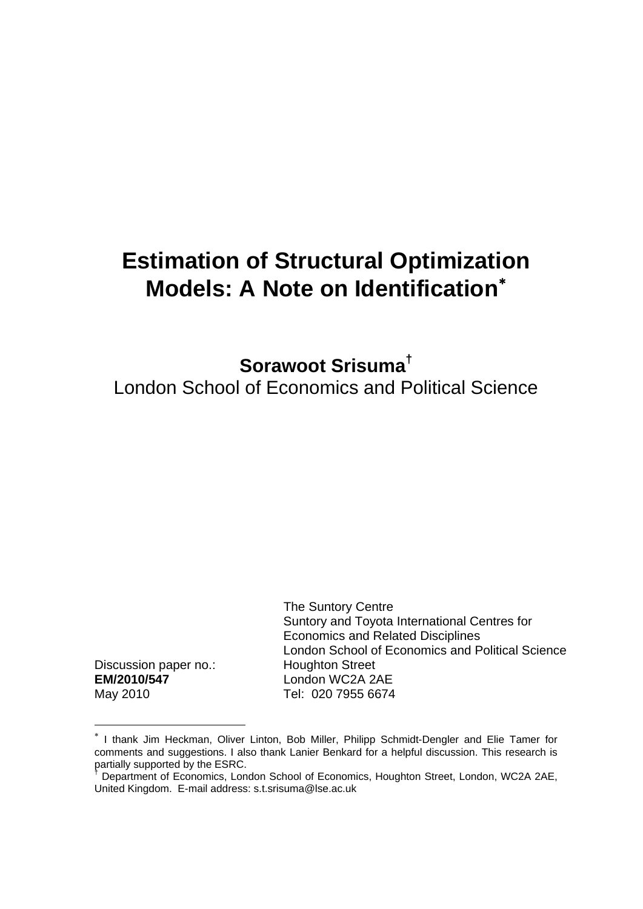## **Estimation of Structural Optimization Models: A Note on Identification**<sup>∗</sup>

**Sorawoot Srisuma†**

London School of Economics and Political Science

 The Suntory Centre Suntory and Toyota International Centres for Economics and Related Disciplines London School of Economics and Political Science

Discussion paper no.: Houghton Street **EM/2010/547** London WC2A 2AE May 2010 Tel: 020 7955 6674

<sup>∗</sup> I thank Jim Heckman, Oliver Linton, Bob Miller, Philipp Schmidt-Dengler and Elie Tamer for comments and suggestions. I also thank Lanier Benkard for a helpful discussion. This research is partially supported by the ESRC. †

Department of Economics, London School of Economics, Houghton Street, London, WC2A 2AE, United Kingdom. E-mail address: s.t.srisuma@lse.ac.uk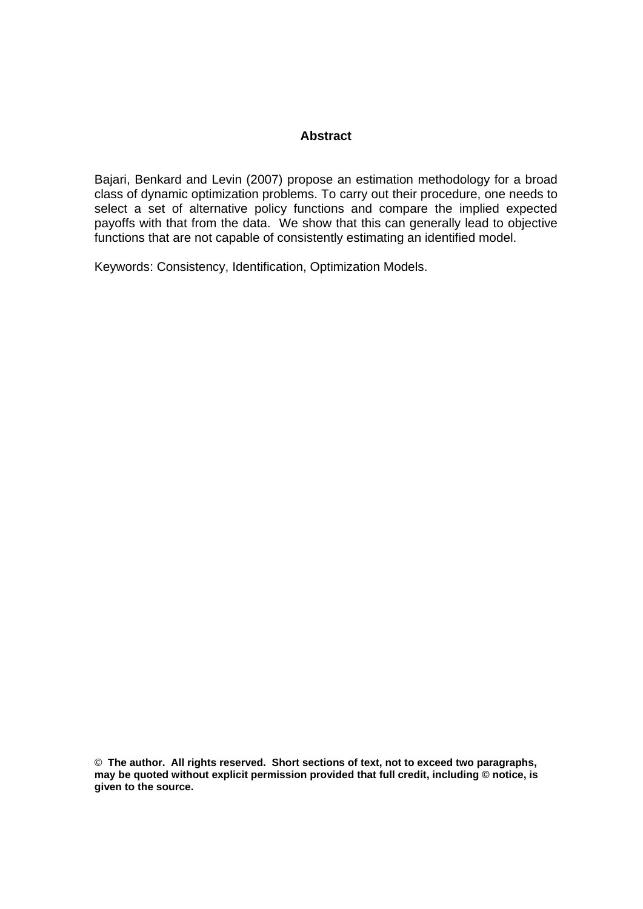## **Abstract**

Bajari, Benkard and Levin (2007) propose an estimation methodology for a broad class of dynamic optimization problems. To carry out their procedure, one needs to select a set of alternative policy functions and compare the implied expected payoffs with that from the data. We show that this can generally lead to objective functions that are not capable of consistently estimating an identified model.

Keywords: Consistency, Identification, Optimization Models.

<sup>©</sup> **The author. All rights reserved. Short sections of text, not to exceed two paragraphs, may be quoted without explicit permission provided that full credit, including © notice, is given to the source.**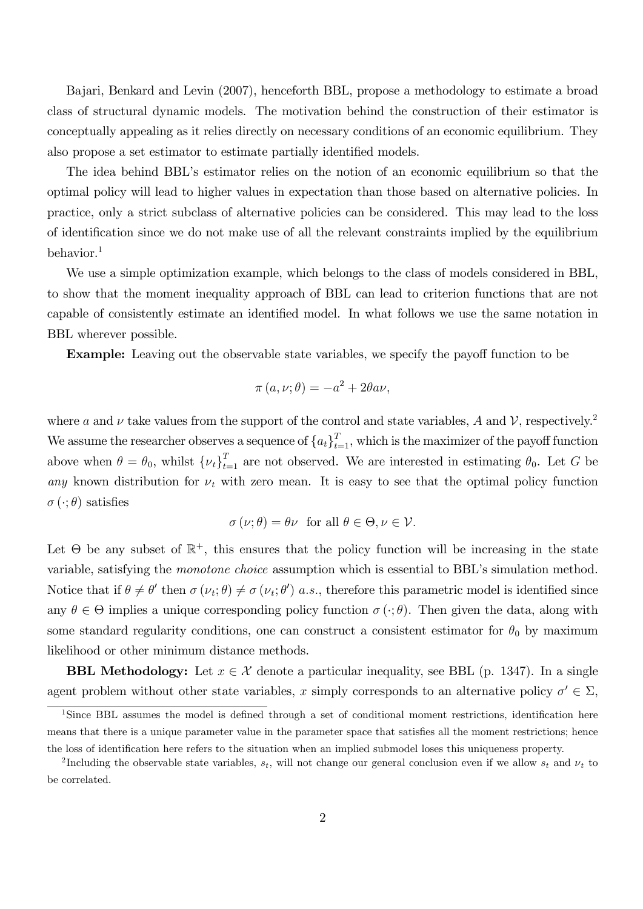Bajari, Benkard and Levin (2007), henceforth BBL, propose a methodology to estimate a broad class of structural dynamic models. The motivation behind the construction of their estimator is conceptually appealing as it relies directly on necessary conditions of an economic equilibrium. They also propose a set estimator to estimate partially identified models.

The idea behind BBLís estimator relies on the notion of an economic equilibrium so that the optimal policy will lead to higher values in expectation than those based on alternative policies. In practice, only a strict subclass of alternative policies can be considered. This may lead to the loss of identification since we do not make use of all the relevant constraints implied by the equilibrium behavior.<sup>1</sup>

We use a simple optimization example, which belongs to the class of models considered in BBL, to show that the moment inequality approach of BBL can lead to criterion functions that are not capable of consistently estimate an identified model. In what follows we use the same notation in BBL wherever possible.

**Example:** Leaving out the observable state variables, we specify the payoff function to be

$$
\pi(a,\nu;\theta) = -a^2 + 2\theta a\nu,
$$

where a and  $\nu$  take values from the support of the control and state variables, A and  $\mathcal{V}$ , respectively.<sup>2</sup> We assume the researcher observes a sequence of  $\{a_t\}_{t=1}^T$ , which is the maximizer of the payoff function above when  $\theta = \theta_0$ , whilst  $\{\nu_t\}_{t=1}^T$  are not observed. We are interested in estimating  $\theta_0$ . Let G be any known distribution for  $\nu_t$  with zero mean. It is easy to see that the optimal policy function  $\sigma(\cdot; \theta)$  satisfies

$$
\sigma(\nu;\theta) = \theta\nu \text{ for all } \theta \in \Theta, \nu \in \mathcal{V}.
$$

Let  $\Theta$  be any subset of  $\mathbb{R}^+$ , this ensures that the policy function will be increasing in the state variable, satisfying the *monotone choice* assumption which is essential to BBL's simulation method. Notice that if  $\theta \neq \theta'$  then  $\sigma(\nu_t;\theta) \neq \sigma(\nu_t;\theta')$  a.s., therefore this parametric model is identified since any  $\theta \in \Theta$  implies a unique corresponding policy function  $\sigma(\cdot;\theta)$ . Then given the data, along with some standard regularity conditions, one can construct a consistent estimator for  $\theta_0$  by maximum likelihood or other minimum distance methods.

**BBL Methodology:** Let  $x \in \mathcal{X}$  denote a particular inequality, see BBL (p. 1347). In a single agent problem without other state variables, x simply corresponds to an alternative policy  $\sigma' \in \Sigma$ ,

<sup>&</sup>lt;sup>1</sup>Since BBL assumes the model is defined through a set of conditional moment restrictions, identification here means that there is a unique parameter value in the parameter space that satisfies all the moment restrictions; hence the loss of identification here refers to the situation when an implied submodel loses this uniqueness property.

<sup>&</sup>lt;sup>2</sup>Including the observable state variables,  $s_t$ , will not change our general conclusion even if we allow  $s_t$  and  $\nu_t$  to be correlated.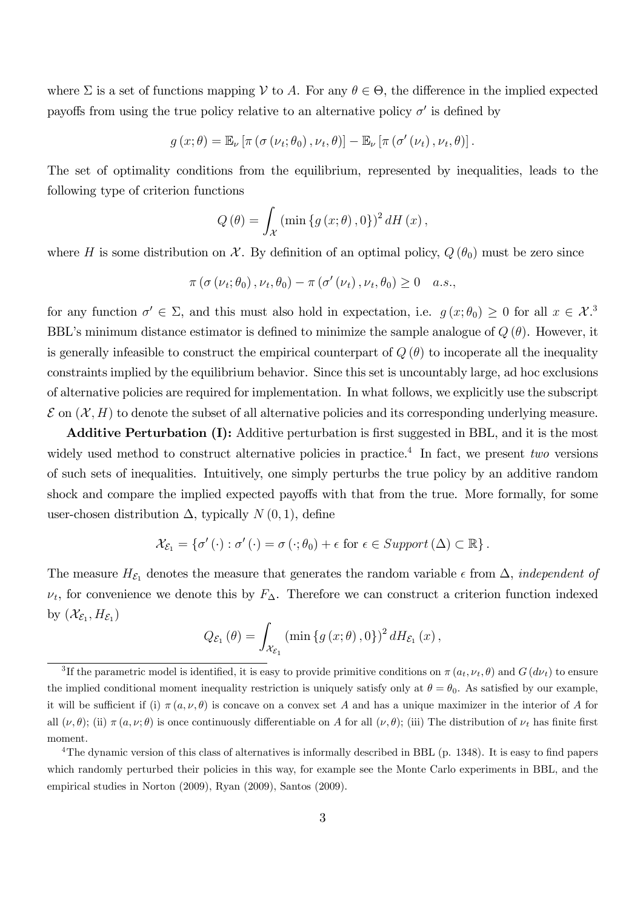where  $\Sigma$  is a set of functions mapping  $V$  to A. For any  $\theta \in \Theta$ , the difference in the implied expected payoffs from using the true policy relative to an alternative policy  $\sigma'$  is defined by

$$
g(x; \theta) = \mathbb{E}_{\nu} \left[ \pi \left( \sigma \left( \nu_t; \theta_0 \right), \nu_t, \theta \right) \right] - \mathbb{E}_{\nu} \left[ \pi \left( \sigma' \left( \nu_t \right), \nu_t, \theta \right) \right].
$$

The set of optimality conditions from the equilibrium, represented by inequalities, leads to the following type of criterion functions

$$
Q(\theta) = \int_{\mathcal{X}} \left( \min \left\{ g(x; \theta), 0 \right\} \right)^2 dH(x),
$$

where H is some distribution on X. By definition of an optimal policy,  $Q(\theta_0)$  must be zero since

$$
\pi\left(\sigma\left(\nu_t;\theta_0\right),\nu_t,\theta_0\right)-\pi\left(\sigma'\left(\nu_t\right),\nu_t,\theta_0\right)\geq 0 \quad a.s.,
$$

for any function  $\sigma' \in \Sigma$ , and this must also hold in expectation, i.e.  $g(x; \theta_0) \geq 0$  for all  $x \in \mathcal{X}^3$ BBL's minimum distance estimator is defined to minimize the sample analogue of  $Q(\theta)$ . However, it is generally infeasible to construct the empirical counterpart of  $Q(\theta)$  to incoperate all the inequality constraints implied by the equilibrium behavior. Since this set is uncountably large, ad hoc exclusions of alternative policies are required for implementation. In what follows, we explicitly use the subscript  $\mathcal E$  on  $(\mathcal X, H)$  to denote the subset of all alternative policies and its corresponding underlying measure.

Additive Perturbation (I): Additive perturbation is first suggested in BBL, and it is the most widely used method to construct alternative policies in practice.<sup>4</sup> In fact, we present two versions of such sets of inequalities. Intuitively, one simply perturbs the true policy by an additive random shock and compare the implied expected payoffs with that from the true. More formally, for some user-chosen distribution  $\Delta$ , typically  $N(0, 1)$ , define

$$
\mathcal{X}_{\mathcal{E}_1} = \left\{ \sigma' \left( \cdot \right) : \sigma' \left( \cdot \right) = \sigma \left( \cdot ; \theta_0 \right) + \epsilon \text{ for } \epsilon \in \text{Support} \left( \Delta \right) \subset \mathbb{R} \right\}.
$$

The measure  $H_{\mathcal{E}_1}$  denotes the measure that generates the random variable  $\epsilon$  from  $\Delta$ , *independent of*  $\nu_t$ , for convenience we denote this by  $F_{\Delta}$ . Therefore we can construct a criterion function indexed by  $(\mathcal{X}_{\mathcal{E}_1}, H_{\mathcal{E}_1})$ 

$$
Q_{\mathcal{E}_1}(\theta) = \int_{\mathcal{X}_{\mathcal{E}_1}} (\min \{g(x; \theta), 0\})^2 dH_{\mathcal{E}_1}(x),
$$

<sup>&</sup>lt;sup>3</sup>If the parametric model is identified, it is easy to provide primitive conditions on  $\pi(a_t, \nu_t, \theta)$  and  $G(d\nu_t)$  to ensure the implied conditional moment inequality restriction is uniquely satisfy only at  $\theta = \theta_0$ . As satisfied by our example, it will be sufficient if (i)  $\pi(a, \nu, \theta)$  is concave on a convex set A and has a unique maximizer in the interior of A for all  $(\nu, \theta)$ ; (ii)  $\pi(a, \nu; \theta)$  is once continuously differentiable on A for all  $(\nu, \theta)$ ; (iii) The distribution of  $\nu_t$  has finite first moment.

<sup>&</sup>lt;sup>4</sup>The dynamic version of this class of alternatives is informally described in BBL (p. 1348). It is easy to find papers which randomly perturbed their policies in this way, for example see the Monte Carlo experiments in BBL, and the empirical studies in Norton (2009), Ryan (2009), Santos (2009).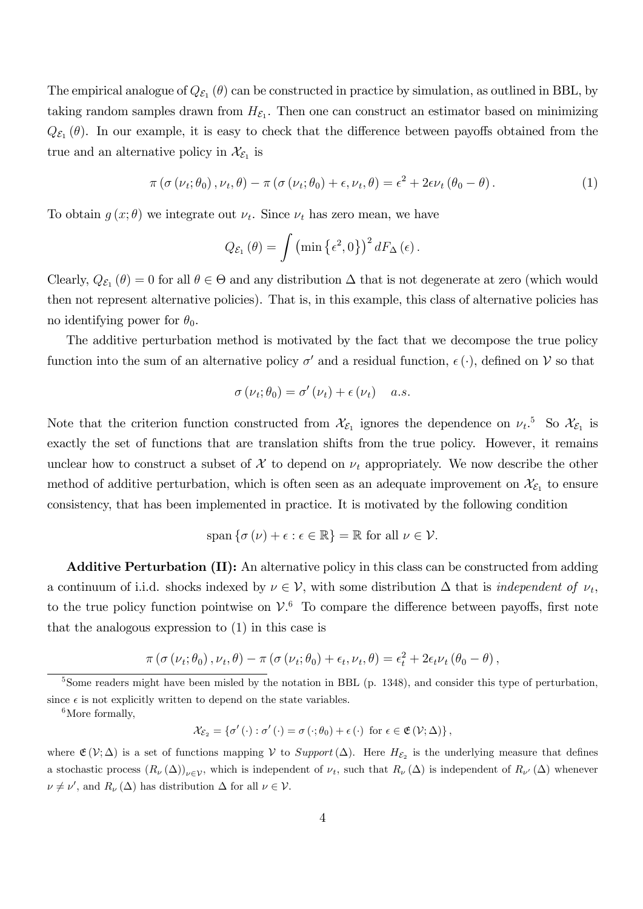The empirical analogue of  $Q_{\mathcal{E}_1}(\theta)$  can be constructed in practice by simulation, as outlined in BBL, by taking random samples drawn from  $H_{\mathcal{E}_1}$ . Then one can construct an estimator based on minimizing  $Q_{\mathcal{E}_1}(\theta)$ . In our example, it is easy to check that the difference between payoffs obtained from the true and an alternative policy in  $\mathcal{X}_{\mathcal{E}_1}$  is

$$
\pi\left(\sigma\left(\nu_t;\theta_0\right),\nu_t,\theta\right)-\pi\left(\sigma\left(\nu_t;\theta_0\right)+\epsilon,\nu_t,\theta\right)=\epsilon^2+2\epsilon\nu_t\left(\theta_0-\theta\right). \tag{1}
$$

To obtain  $g(x; \theta)$  we integrate out  $\nu_t$ . Since  $\nu_t$  has zero mean, we have

$$
Q_{\mathcal{E}_1}(\theta) = \int (\min \left\{ \epsilon^2, 0 \right\} \right)^2 dF_{\Delta}(\epsilon).
$$

Clearly,  $Q_{\mathcal{E}_1}(\theta) = 0$  for all  $\theta \in \Theta$  and any distribution  $\Delta$  that is not degenerate at zero (which would then not represent alternative policies). That is, in this example, this class of alternative policies has no identifying power for  $\theta_0$ .

The additive perturbation method is motivated by the fact that we decompose the true policy function into the sum of an alternative policy  $\sigma'$  and a residual function,  $\epsilon(\cdot)$ , defined on  $\mathcal V$  so that

$$
\sigma(\nu_t; \theta_0) = \sigma'(\nu_t) + \epsilon(\nu_t) \quad a.s.
$$

Note that the criterion function constructed from  $\mathcal{X}_{\mathcal{E}_1}$  ignores the dependence on  $\nu_t$ .<sup>5</sup> So  $\mathcal{X}_{\mathcal{E}_1}$  is exactly the set of functions that are translation shifts from the true policy. However, it remains unclear how to construct a subset of  $\mathcal X$  to depend on  $\nu_t$  appropriately. We now describe the other method of additive perturbation, which is often seen as an adequate improvement on  $\mathcal{X}_{\mathcal{E}_1}$  to ensure consistency, that has been implemented in practice. It is motivated by the following condition

$$
\text{span}\left\{\sigma\left(\nu\right)+\epsilon:\epsilon\in\mathbb{R}\right\}=\mathbb{R}\text{ for all }\nu\in\mathcal{V}.
$$

Additive Perturbation (II): An alternative policy in this class can be constructed from adding a continuum of i.i.d. shocks indexed by  $\nu \in \mathcal{V}$ , with some distribution  $\Delta$  that is *independent of*  $\nu_t$ , to the true policy function pointwise on  $V^6$ . To compare the difference between payoffs, first note that the analogous expression to (1) in this case is

$$
\pi\left(\sigma\left(\nu_t;\theta_0\right),\nu_t,\theta\right)-\pi\left(\sigma\left(\nu_t;\theta_0\right)+\epsilon_t,\nu_t,\theta\right)=\epsilon_t^2+2\epsilon_t\nu_t\left(\theta_0-\theta\right),
$$

$$
\mathcal{X}_{\mathcal{E}_2} = \left\{ \sigma' \left( \cdot \right) : \sigma' \left( \cdot \right) = \sigma \left( \cdot ; \theta_0 \right) + \epsilon \left( \cdot \right) \text{ for } \epsilon \in \mathfrak{E} \left( \mathcal{V}; \Delta \right) \right\},
$$

<sup>&</sup>lt;sup>5</sup>Some readers might have been misled by the notation in BBL (p. 1348), and consider this type of perturbation, since  $\epsilon$  is not explicitly written to depend on the state variables.

<sup>&</sup>lt;sup>6</sup>More formally,

where  $\mathfrak{E}(\mathcal{V};\Delta)$  is a set of functions mapping  $\mathcal{V}$  to  $Support(\Delta)$ . Here  $H_{\mathcal{E}_2}$  is the underlying measure that defines a stochastic process  $(R_\nu(\Delta))_{\nu\in\mathcal{V}}$ , which is independent of  $\nu_t$ , such that  $R_\nu(\Delta)$  is independent of  $R_{\nu'}(\Delta)$  whenever  $\nu \neq \nu'$ , and  $R_{\nu}(\Delta)$  has distribution  $\Delta$  for all  $\nu \in \mathcal{V}$ .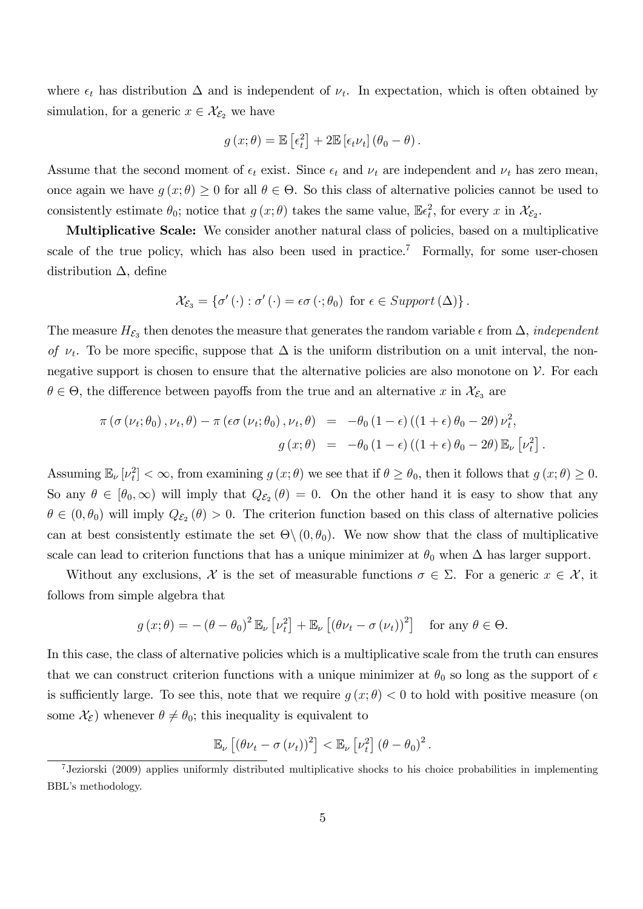where  $\epsilon_t$  has distribution  $\Delta$  and is independent of  $\nu_t$ . In expectation, which is often obtained by simulation, for a generic  $x \in \mathcal{X}_{\mathcal{E}_2}$  we have

$$
g(x; \theta) = \mathbb{E} \left[ \epsilon_t^2 \right] + 2 \mathbb{E} \left[ \epsilon_t \nu_t \right] \left( \theta_0 - \theta \right).
$$

Assume that the second moment of  $\epsilon_t$  exist. Since  $\epsilon_t$  and  $\nu_t$  are independent and  $\nu_t$  has zero mean, once again we have  $g(x; \theta) \ge 0$  for all  $\theta \in \Theta$ . So this class of alternative policies cannot be used to consistently estimate  $\theta_0$ ; notice that  $g(x;\theta)$  takes the same value,  $\mathbb{E}\epsilon_t^2$ , for every x in  $\mathcal{X}_{\mathcal{E}_2}$ .

Multiplicative Scale: We consider another natural class of policies, based on a multiplicative scale of the true policy, which has also been used in practice.<sup>7</sup> Formally, for some user-chosen distribution  $\Delta$ , define

$$
\mathcal{X}_{\mathcal{E}_3} = \left\{ \sigma'(\cdot) : \sigma'(\cdot) = \epsilon \sigma(\cdot; \theta_0) \text{ for } \epsilon \in \text{Support}(\Delta) \right\}.
$$

The measure  $H_{\mathcal{E}_3}$  then denotes the measure that generates the random variable  $\epsilon$  from  $\Delta$ , *independent* of  $\nu_t$ . To be more specific, suppose that  $\Delta$  is the uniform distribution on a unit interval, the nonnegative support is chosen to ensure that the alternative policies are also monotone on  $\mathcal V$ . For each  $\theta \in \Theta$ , the difference between payoffs from the true and an alternative x in  $\mathcal{X}_{\mathcal{E}_3}$  are

$$
\pi\left(\sigma\left(\nu_t;\theta_0\right),\nu_t,\theta\right)-\pi\left(\epsilon\sigma\left(\nu_t;\theta_0\right),\nu_t,\theta\right) = -\theta_0\left(1-\epsilon\right)\left(\left(1+\epsilon\right)\theta_0-2\theta\right)\nu_t^2,
$$
\n
$$
g\left(x;\theta\right) = -\theta_0\left(1-\epsilon\right)\left(\left(1+\epsilon\right)\theta_0-2\theta\right)\mathbb{E}_{\nu}\left[\nu_t^2\right].
$$

Assuming  $\mathbb{E}_{\nu}[\nu_t^2] < \infty$ , from examining  $g(x; \theta)$  we see that if  $\theta \ge \theta_0$ , then it follows that  $g(x; \theta) \ge 0$ . So any  $\theta \in [\theta_0, \infty)$  will imply that  $Q_{\mathcal{E}_2}(\theta) = 0$ . On the other hand it is easy to show that any  $\theta \in (0, \theta_0)$  will imply  $Q_{\mathcal{E}_2}(\theta) > 0$ . The criterion function based on this class of alternative policies can at best consistently estimate the set  $\Theta \setminus (0, \theta_0)$ . We now show that the class of multiplicative scale can lead to criterion functions that has a unique minimizer at  $\theta_0$  when  $\Delta$  has larger support.

Without any exclusions, X is the set of measurable functions  $\sigma \in \Sigma$ . For a generic  $x \in \mathcal{X}$ , it follows from simple algebra that

$$
g(x; \theta) = -(\theta - \theta_0)^2 \mathbb{E}_{\nu} \left[ \nu_t^2 \right] + \mathbb{E}_{\nu} \left[ (\theta \nu_t - \sigma (\nu_t))^2 \right] \text{ for any } \theta \in \Theta.
$$

In this case, the class of alternative policies which is a multiplicative scale from the truth can ensures that we can construct criterion functions with a unique minimizer at  $\theta_0$  so long as the support of  $\epsilon$ is sufficiently large. To see this, note that we require  $g(x; \theta) < 0$  to hold with positive measure (on some  $\mathcal{X}_{\mathcal{E}}$  whenever  $\theta \neq \theta_0$ ; this inequality is equivalent to

$$
\mathbb{E}_{\nu}\left[\left(\theta\nu_t-\sigma\left(\nu_t\right)\right)^2\right] < \mathbb{E}_{\nu}\left[\nu_t^2\right]\left(\theta-\theta_0\right)^2.
$$

 $7$ Jeziorski (2009) applies uniformly distributed multiplicative shocks to his choice probabilities in implementing BBL's methodology.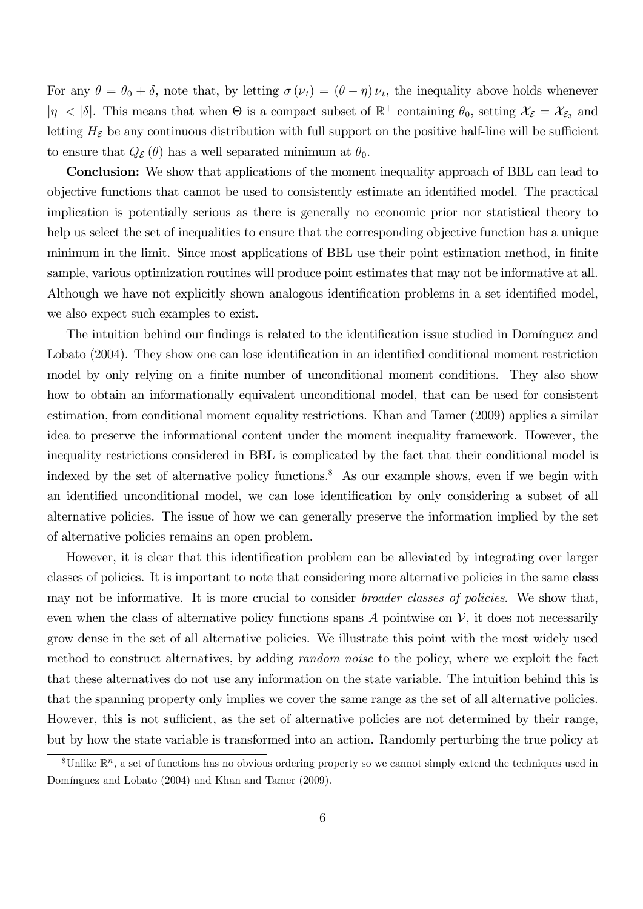For any  $\theta = \theta_0 + \delta$ , note that, by letting  $\sigma(\nu_t) = (\theta - \eta) \nu_t$ , the inequality above holds whenever  $|\eta| < |\delta|$ . This means that when  $\Theta$  is a compact subset of  $\mathbb{R}^+$  containing  $\theta_0$ , setting  $\mathcal{X}_{\mathcal{E}} = \mathcal{X}_{\mathcal{E}_3}$  and letting  $H_{\mathcal{E}}$  be any continuous distribution with full support on the positive half-line will be sufficient to ensure that  $Q_{\mathcal{E}}(\theta)$  has a well separated minimum at  $\theta_0$ .

Conclusion: We show that applications of the moment inequality approach of BBL can lead to objective functions that cannot be used to consistently estimate an identified model. The practical implication is potentially serious as there is generally no economic prior nor statistical theory to help us select the set of inequalities to ensure that the corresponding objective function has a unique minimum in the limit. Since most applications of BBL use their point estimation method, in finite sample, various optimization routines will produce point estimates that may not be informative at all. Although we have not explicitly shown analogous identification problems in a set identified model, we also expect such examples to exist.

The intuition behind our findings is related to the identification issue studied in Domínguez and Lobato (2004). They show one can lose identification in an identified conditional moment restriction model by only relying on a finite number of unconditional moment conditions. They also show how to obtain an informationally equivalent unconditional model, that can be used for consistent estimation, from conditional moment equality restrictions. Khan and Tamer (2009) applies a similar idea to preserve the informational content under the moment inequality framework. However, the inequality restrictions considered in BBL is complicated by the fact that their conditional model is indexed by the set of alternative policy functions.<sup>8</sup> As our example shows, even if we begin with an identified unconditional model, we can lose identification by only considering a subset of all alternative policies. The issue of how we can generally preserve the information implied by the set of alternative policies remains an open problem.

However, it is clear that this identification problem can be alleviated by integrating over larger classes of policies. It is important to note that considering more alternative policies in the same class may not be informative. It is more crucial to consider *broader classes of policies*. We show that, even when the class of alternative policy functions spans A pointwise on  $\mathcal{V}$ , it does not necessarily grow dense in the set of all alternative policies. We illustrate this point with the most widely used method to construct alternatives, by adding *random noise* to the policy, where we exploit the fact that these alternatives do not use any information on the state variable. The intuition behind this is that the spanning property only implies we cover the same range as the set of all alternative policies. However, this is not sufficient, as the set of alternative policies are not determined by their range, but by how the state variable is transformed into an action. Randomly perturbing the true policy at

 $8$ Unlike  $\mathbb{R}^n$ , a set of functions has no obvious ordering property so we cannot simply extend the techniques used in Domínguez and Lobato (2004) and Khan and Tamer (2009).